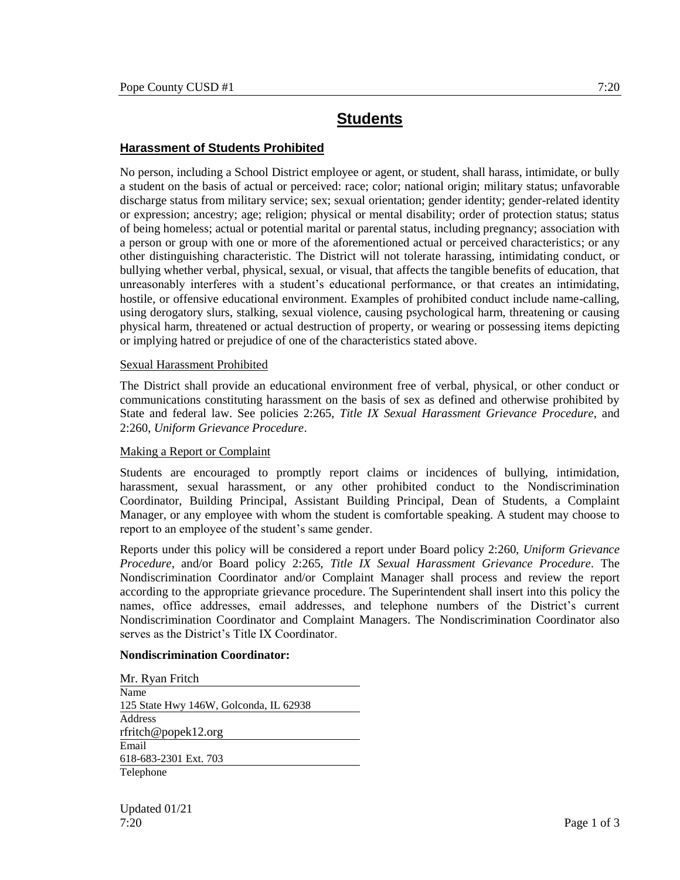# **Students**

## **Harassment of Students Prohibited**

No person, including a School District employee or agent, or student, shall harass, intimidate, or bully a student on the basis of actual or perceived: race; color; national origin; military status; unfavorable discharge status from military service; sex; sexual orientation; gender identity; gender-related identity or expression; ancestry; age; religion; physical or mental disability; order of protection status; status of being homeless; actual or potential marital or parental status, including pregnancy; association with a person or group with one or more of the aforementioned actual or perceived characteristics; or any other distinguishing characteristic. The District will not tolerate harassing, intimidating conduct, or bullying whether verbal, physical, sexual, or visual, that affects the tangible benefits of education, that unreasonably interferes with a student's educational performance, or that creates an intimidating, hostile, or offensive educational environment. Examples of prohibited conduct include name-calling, using derogatory slurs, stalking, sexual violence, causing psychological harm, threatening or causing physical harm, threatened or actual destruction of property, or wearing or possessing items depicting or implying hatred or prejudice of one of the characteristics stated above.

#### Sexual Harassment Prohibited

The District shall provide an educational environment free of verbal, physical, or other conduct or communications constituting harassment on the basis of sex as defined and otherwise prohibited by State and federal law. See policies 2:265, *Title IX Sexual Harassment Grievance Procedure*, and 2:260, *Uniform Grievance Procedure*.

#### Making a Report or Complaint

Students are encouraged to promptly report claims or incidences of bullying, intimidation, harassment, sexual harassment, or any other prohibited conduct to the Nondiscrimination Coordinator, Building Principal, Assistant Building Principal, Dean of Students, a Complaint Manager, or any employee with whom the student is comfortable speaking. A student may choose to report to an employee of the student's same gender.

Reports under this policy will be considered a report under Board policy 2:260, *Uniform Grievance Procedure*, and/or Board policy 2:265, *Title IX Sexual Harassment Grievance Procedure.* The Nondiscrimination Coordinator and/or Complaint Manager shall process and review the report according to the appropriate grievance procedure. The Superintendent shall insert into this policy the names, office addresses, email addresses, and telephone numbers of the District's current Nondiscrimination Coordinator and Complaint Managers. The Nondiscrimination Coordinator also serves as the District's Title IX Coordinator.

#### **Nondiscrimination Coordinator:**

Mr. Ryan Fritch Name 125 State Hwy 146W, Golconda, IL 62938 Address rfritch@popek12.org Email 618-683-2301 Ext. 703 Telephone

Updated 01/21 7:20 Page 1 of 3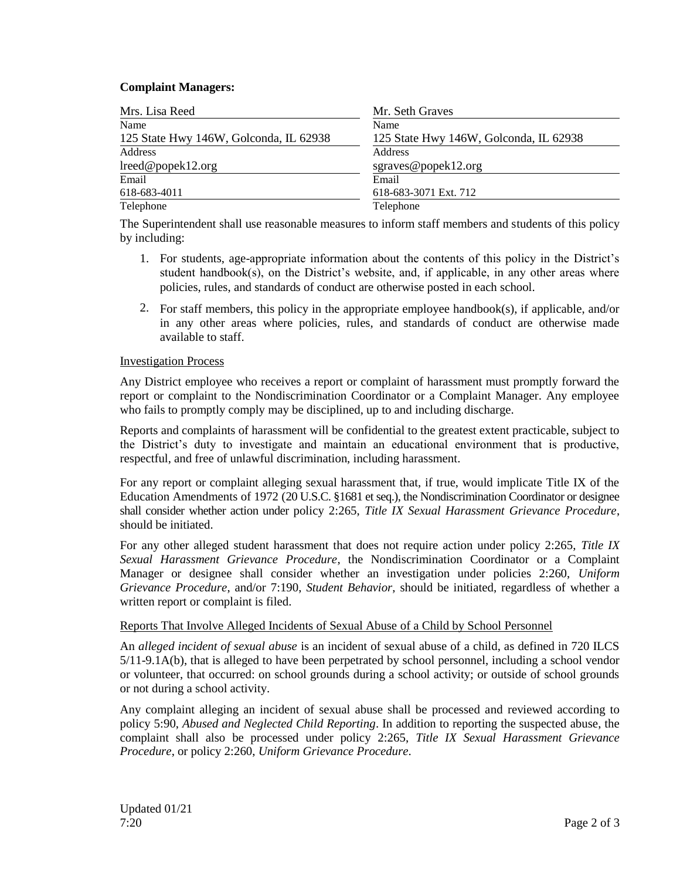### **Complaint Managers:**

| Mrs. Lisa Reed                         | Mr. Seth Graves                        |
|----------------------------------------|----------------------------------------|
| Name                                   | Name                                   |
| 125 State Hwy 146W, Golconda, IL 62938 | 125 State Hwy 146W, Golconda, IL 62938 |
| Address                                | Address                                |
| lreed@popek12.org                      | sgraves@popek12.org                    |
| Email                                  | Email                                  |
| 618-683-4011                           | 618-683-3071 Ext. 712                  |
| Telephone                              | Telephone                              |

The Superintendent shall use reasonable measures to inform staff members and students of this policy by including:

- 1. For students, age-appropriate information about the contents of this policy in the District's student handbook(s), on the District's website, and, if applicable, in any other areas where policies, rules, and standards of conduct are otherwise posted in each school.
- 2. For staff members, this policy in the appropriate employee handbook(s), if applicable, and/or in any other areas where policies, rules, and standards of conduct are otherwise made available to staff.

#### Investigation Process

Any District employee who receives a report or complaint of harassment must promptly forward the report or complaint to the Nondiscrimination Coordinator or a Complaint Manager. Any employee who fails to promptly comply may be disciplined, up to and including discharge.

Reports and complaints of harassment will be confidential to the greatest extent practicable, subject to the District's duty to investigate and maintain an educational environment that is productive, respectful, and free of unlawful discrimination, including harassment.

For any report or complaint alleging sexual harassment that, if true, would implicate Title IX of the Education Amendments of 1972 (20 U.S.C. §1681 et seq.), the Nondiscrimination Coordinator or designee shall consider whether action under policy 2:265, *Title IX Sexual Harassment Grievance Procedure*, should be initiated.

For any other alleged student harassment that does not require action under policy 2:265, *Title IX Sexual Harassment Grievance Procedure*, the Nondiscrimination Coordinator or a Complaint Manager or designee shall consider whether an investigation under policies 2:260, *Uniform Grievance Procedure*, and/or 7:190, *Student Behavior*, should be initiated, regardless of whether a written report or complaint is filed.

## Reports That Involve Alleged Incidents of Sexual Abuse of a Child by School Personnel

An *alleged incident of sexual abuse* is an incident of sexual abuse of a child, as defined in 720 ILCS 5/11-9.1A(b), that is alleged to have been perpetrated by school personnel, including a school vendor or volunteer, that occurred: on school grounds during a school activity; or outside of school grounds or not during a school activity.

Any complaint alleging an incident of sexual abuse shall be processed and reviewed according to policy 5:90, *Abused and Neglected Child Reporting*. In addition to reporting the suspected abuse, the complaint shall also be processed under policy 2:265, *Title IX Sexual Harassment Grievance Procedure*, or policy 2:260, *Uniform Grievance Procedure*.